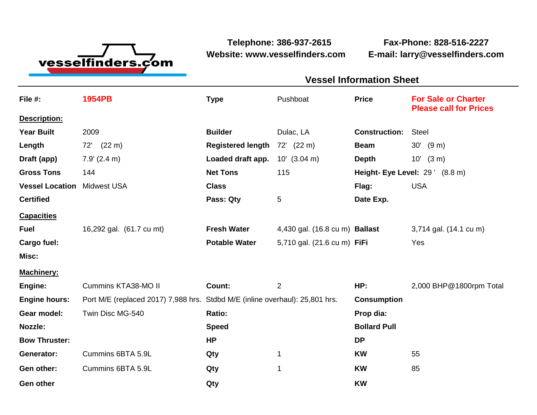

**Capacities**

**Description:**

**Machinery:**

**Misc:**

**Website: www.vesselfinders.com E-mail: larry@vesselfinders.com**

**Telephone: 386-937-2615 Fax-Phone: 828-516-2227**

**Vessel Information Sheet File #: 1954PB Type** Pushboat **Price For Sale or Charter Please call for Prices Year Built** 2009 **Builder** Dulac, LA **Construction:** Steel **Length** 72' (22 m) **Registered length** 72' (22 m) **Beam** 30' (9 m) **Draft (app)** 7.9' (2.4 m) **Loaded draft app.** 10' (3.04 m) **Depth** 10' (3 m) **Gross Tons** 144 **Net Tons** 115 **Height- Eye Level:** 29 ' (8.8 m) **Vessel Location** Midwest USA **Class Flag:** USA **Certified Pass: Qty** 5 **Date Exp. Fuel** 16,292 gal. (61.7 cu mt) **Fresh Water** 4,430 gal. (16.8 cu m) **Ballast** 3,714 gal. (14.1 cu m) **Cargo fuel: Potable Water** 5,710 gal. (21.6 cu m) **FiFi** Yes **Engine:** Cummins KTA38-MO II **Count:** 2 **HP:** 2,000 BHP@1800rpm Total **Engine hours:** Port M/E (replaced 2017) 7,988 hrs. Stdbd M/E (inline overhaul): 25,801 hrs. **Consumption Gear model:** Twin Disc MG-540 **Ratio: Prop dia: Vessel Information Sheet**

**Nozzle: Speed Bollard Pull**

**Generator:** Cummins 6BTA 5.9L **Qty** 1 **KW** 55

**Gen other:** Cummins 6BTA 5.9L **Qty** 1 **KW** 85

**Bow Thruster: HP DP**

**Gen other Qty KW**